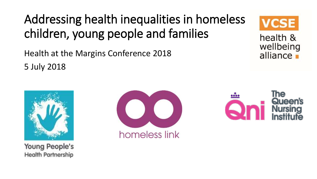### Addressing health inequalities in homeless children, young people and families

Health at the Margins Conference 2018 5 July 2018



health & wellbeing alliance -



**Young People's Health Partnership** 



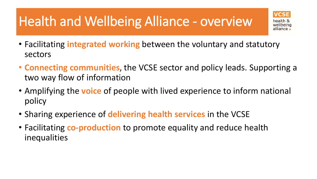# Health and Wellbeing Alliance - overview



- Facilitating **integrated working** between the voluntary and statutory sectors
- **Connecting communities**, the VCSE sector and policy leads. Supporting a two way flow of information
- Amplifying the **voice** of people with lived experience to inform national policy
- Sharing experience of **delivering health services** in the VCSE
- Facilitating **co-production** to promote equality and reduce health inequalities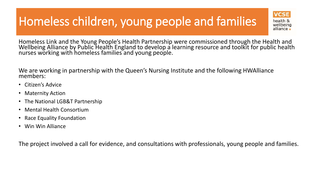### Homeless children, young people and families



health & wellheina

Homeless Link and the Young People's Health Partnership were commissioned through the Health and Wellbeing Alliance by Public Health England to develop a learning resource and toolkit for public health nurses working with homeless families and young people.

We are working in partnership with the Queen's Nursing Institute and the following HWAlliance members:

- Citizen's Advice
- Maternity Action
- The National LGB&T Partnership
- Mental Health Consortium
- Race Equality Foundation
- Win Win Alliance

The project involved a call for evidence, and consultations with professionals, young people and families.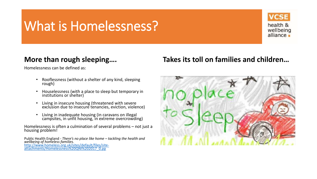### What is Homelessness?



#### **More than rough sleeping….**

Homelessness can be defined as:

- Rooflessness (without a shelter of any kind, sleeping rough)
- Houselessness (with a place to sleep but temporary in institutions or shelter)
- Living in insecure housing (threatened with severe exclusion due to insecure tenancies, eviction, violence)
- Living in inadequate housing (in caravans on illegal campsites, in unfit housing, in extreme overcrowding)

Homelessness is often a culmination of several problems – not just a housing problem!

Public Health England - *There's no place like home – tackling the health and wellbeing of homeless families.*  [http://www.homeless.org.uk/sites/default/files/site](http://www.homeless.org.uk/sites/default/files/site-attachments/Homelessness QNI 2017_0.pp)attachments/Homelessness%20QNI%202017\_0.pp

### **Takes its toll on families and children…**

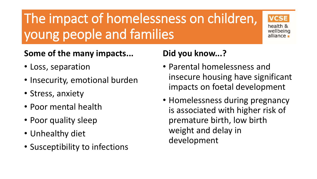# The impact of homelessness on children, young people and families



### **Some of the many impacts...**

- Loss, separation
- Insecurity, emotional burden
- Stress, anxiety
- Poor mental health
- Poor quality sleep
- Unhealthy diet
- Susceptibility to infections

### **Did you know...?**

- Parental homelessness and insecure housing have significant impacts on foetal development
- Homelessness during pregnancy is associated with higher risk of premature birth, low birth weight and delay in development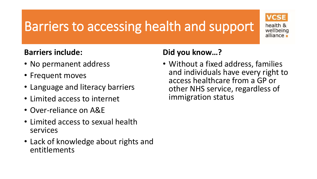## Barriers to accessing health and support



### **Barriers include:**

- No permanent address
- Frequent moves
- Language and literacy barriers
- Limited access to internet
- Over-reliance on A&E
- Limited access to sexual health services
- Lack of knowledge about rights and entitlements

### **Did you know…?**

• Without a fixed address, families and individuals have every right to access healthcare from a GP or other NHS service, regardless of immigration status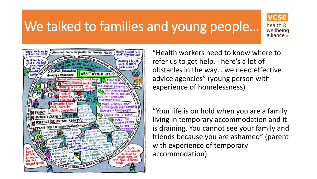## We talked to families and young people…



health & wellbeing alliance.



"Health workers need to know where to refer us to get help. There's a lot of obstacles in the way… we need effective advice agencies" (young person with experience of homelessness)

"Your life is on hold when you are a family living in temporary accommodation and it is draining. You cannot see your family and friends because you are ashamed" (parent with experience of temporary accommodation)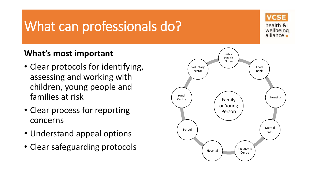### What can professionals do?



### **What's most important**

- Clear protocols for identifying, assessing and working with children, young people and families at risk
- Clear process for reporting concerns
- Understand appeal options
- Clear safeguarding protocols

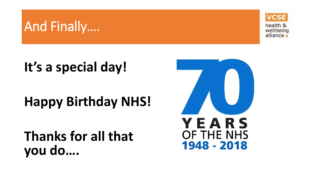

# **It's a special day!**

And Finally….

# **Happy Birthday NHS!**

### **Thanks for all that you do….**